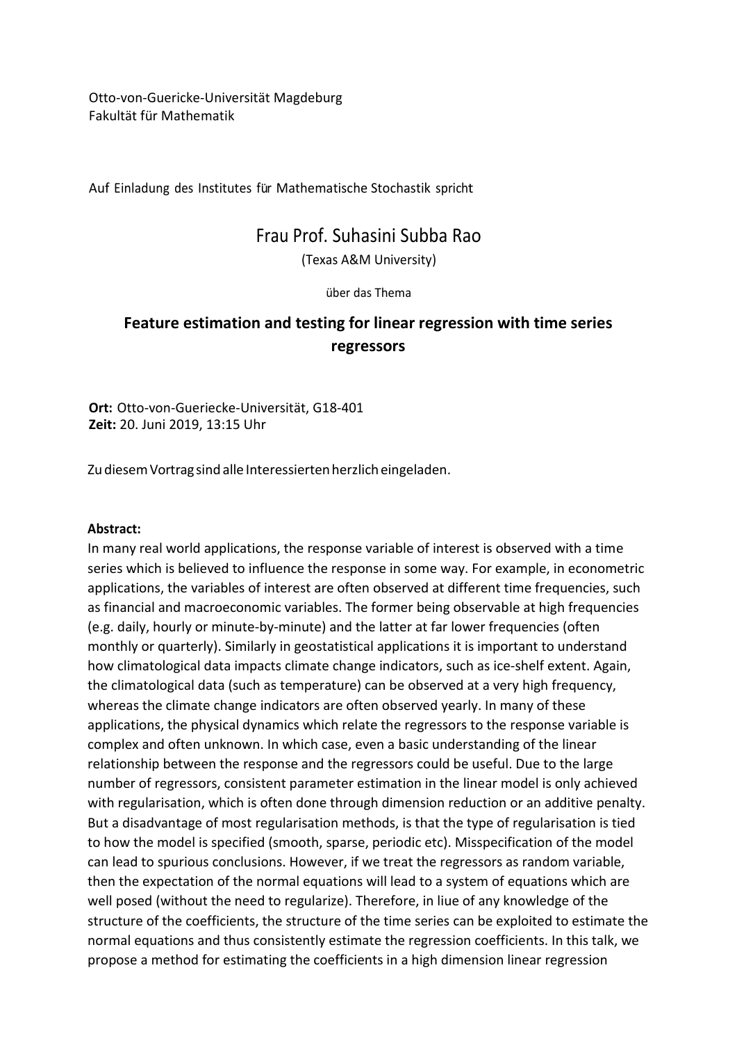Otto-von-Guericke-Universität Magdeburg Fakultät für Mathematik

Auf Einladung des Institutes für Mathematische Stochastik spricht

## Frau Prof. Suhasini Subba Rao

(Texas A&M University)

über das Thema

## **Feature estimation and testing for linear regression with time series regressors**

**Ort:** Otto-von-Gueriecke-Universität, G18-401 **Zeit:** 20. Juni 2019, 13:15 Uhr

Zu diesem Vortrag sind alle Interessierten herzlich eingeladen.

## **Abstract:**

In many real world applications, the response variable of interest is observed with a time series which is believed to influence the response in some way. For example, in econometric applications, the variables of interest are often observed at different time frequencies, such as financial and macroeconomic variables. The former being observable at high frequencies (e.g. daily, hourly or minute-by-minute) and the latter at far lower frequencies (often monthly or quarterly). Similarly in geostatistical applications it is important to understand how climatological data impacts climate change indicators, such as ice-shelf extent. Again, the climatological data (such as temperature) can be observed at a very high frequency, whereas the climate change indicators are often observed yearly. In many of these applications, the physical dynamics which relate the regressors to the response variable is complex and often unknown. In which case, even a basic understanding of the linear relationship between the response and the regressors could be useful. Due to the large number of regressors, consistent parameter estimation in the linear model is only achieved with regularisation, which is often done through dimension reduction or an additive penalty. But a disadvantage of most regularisation methods, is that the type of regularisation is tied to how the model is specified (smooth, sparse, periodic etc). Misspecification of the model can lead to spurious conclusions. However, if we treat the regressors as random variable, then the expectation of the normal equations will lead to a system of equations which are well posed (without the need to regularize). Therefore, in liue of any knowledge of the structure of the coefficients, the structure of the time series can be exploited to estimate the normal equations and thus consistently estimate the regression coefficients. In this talk, we propose a method for estimating the coefficients in a high dimension linear regression